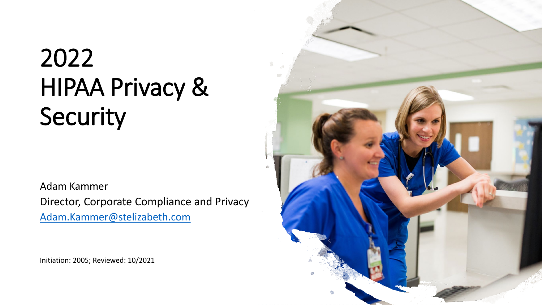# 2022 HIPAA Privacy & Security

Adam Kammer Director, Corporate Compliance and Privacy [Adam.Kammer@stelizabeth.com](mailto:Adam.Kammer@stelizabeth.com)

Initiation: 2005; Reviewed: 10/2021

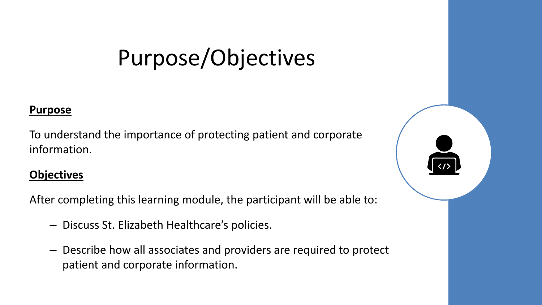# Purpose/Objectives

#### **Purpose**

To understand the importance of protecting patient and corporate information.

#### **Objectives**

After completing this learning module, the participant will be able to:

- Discuss St. Elizabeth Healthcare's policies.
- Describe how all associates and providers are required to protect patient and corporate information.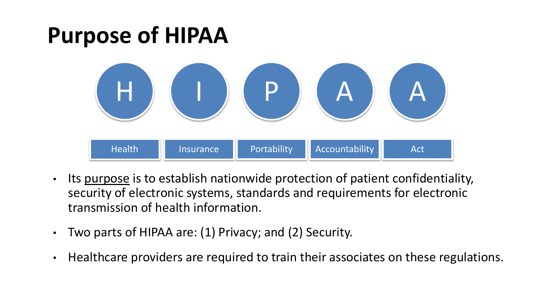## **Purpose of HIPAA**



- Its purpose is to establish nationwide protection of patient confidentiality, security of electronic systems, standards and requirements for electronic transmission of health information.
- Two parts of HIPAA are: (1) Privacy; and (2) Security.
- Healthcare providers are required to train their associates on these regulations.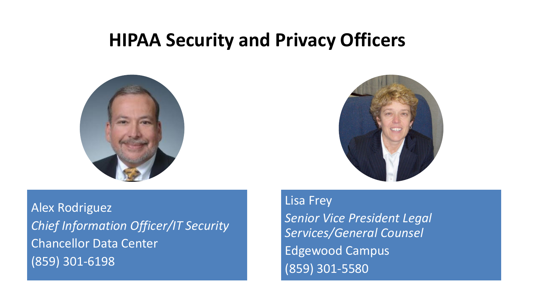### **HIPAA Security and Privacy Officers**





Alex Rodriguez *Chief Information Officer/IT Security* Chancellor Data Center (859) 301-6198

Lisa Frey *Senior Vice President Legal Services/General Counsel*  Edgewood Campus (859) 301-5580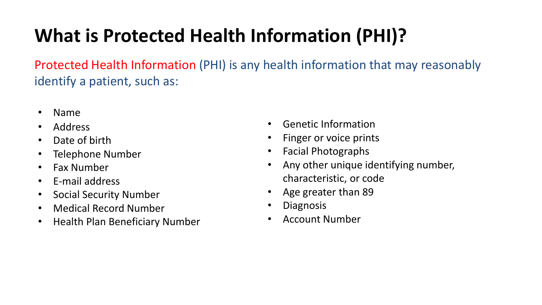## **What is Protected Health Information (PHI)?**

Protected Health Information (PHI) is any health information that may reasonably identify a patient, such as:

- Name
- Address
- Date of birth
- Telephone Number
- Fax Number
- E-mail address
- Social Security Number
- Medical Record Number
- Health Plan Beneficiary Number
- Genetic Information
- Finger or voice prints
- Facial Photographs
- Any other unique identifying number, characteristic, or code
- Age greater than 89
- Diagnosis
- Account Number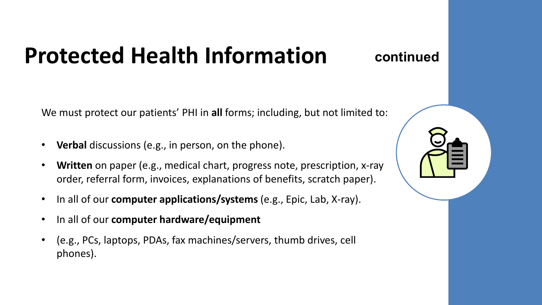# **Protected Health Information**

**continued**

We must protect our patients' PHI in **all** forms; including, but not limited to:

- Verbal discussions (e.g., in person, on the phone).
- **Written** on paper (e.g., medical chart, progress note, prescription, x-ray order, referral form, invoices, explanations of benefits, scratch paper).
- In all of our **computer applications/systems** (e.g., Epic, Lab, X-ray).
- In all of our **computer hardware/equipment**
- (e.g., PCs, laptops, PDAs, fax machines/servers, thumb drives, cell phones).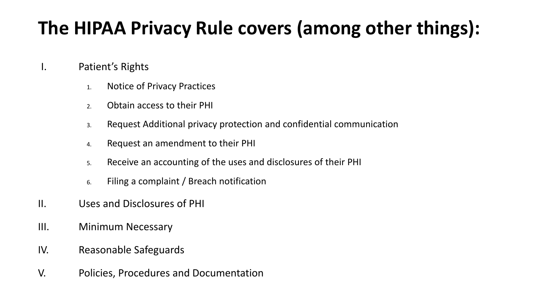## **The HIPAA Privacy Rule covers (among other things):**

### I. Patient's Rights

- 1. Notice of Privacy Practices
- 2. Obtain access to their PHI
- 3. Request Additional privacy protection and confidential communication
- 4. Request an amendment to their PHI
- 5. Receive an accounting of the uses and disclosures of their PHI
- 6. Filing a complaint / Breach notification
- II. Uses and Disclosures of PHI
- III. Minimum Necessary
- IV. Reasonable Safeguards
- V. Policies, Procedures and Documentation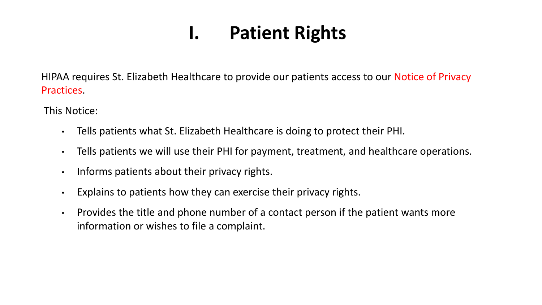### **I. Patient Rights**

HIPAA requires St. Elizabeth Healthcare to provide our patients access to our Notice of Privacy Practices.

This Notice:

- Tells patients what St. Elizabeth Healthcare is doing to protect their PHI.
- Tells patients we will use their PHI for payment, treatment, and healthcare operations.
- Informs patients about their privacy rights.
- Explains to patients how they can exercise their privacy rights.
- Provides the title and phone number of a contact person if the patient wants more information or wishes to file a complaint.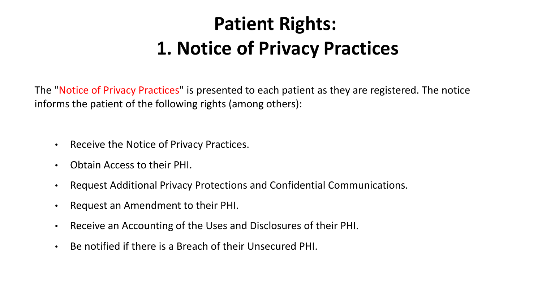## **Patient Rights: 1. Notice of Privacy Practices**

The "Notice of Privacy Practices" is presented to each patient as they are registered. The notice informs the patient of the following rights (among others):

- Receive the Notice of Privacy Practices.
- Obtain Access to their PHI.
- Request Additional Privacy Protections and Confidential Communications.
- Request an Amendment to their PHI.
- Receive an Accounting of the Uses and Disclosures of their PHI.
- Be notified if there is a Breach of their Unsecured PHI.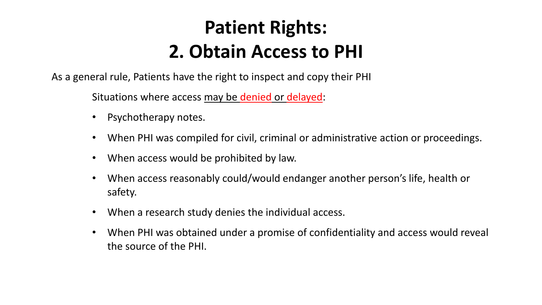## **Patient Rights: 2. Obtain Access to PHI**

As a general rule, Patients have the right to inspect and copy their PHI

Situations where access may be denied or delayed:

- Psychotherapy notes.
- When PHI was compiled for civil, criminal or administrative action or proceedings.
- When access would be prohibited by law.
- When access reasonably could/would endanger another person's life, health or safety.
- When a research study denies the individual access.
- When PHI was obtained under a promise of confidentiality and access would reveal the source of the PHI.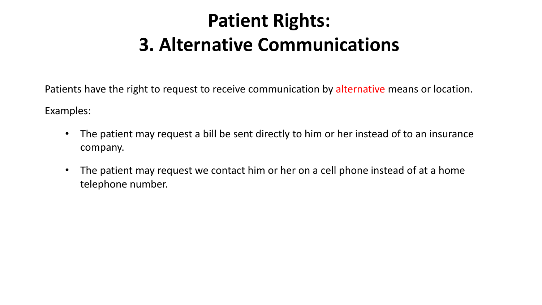## **Patient Rights: 3. Alternative Communications**

Patients have the right to request to receive communication by alternative means or location.

Examples:

- The patient may request a bill be sent directly to him or her instead of to an insurance company.
- The patient may request we contact him or her on a cell phone instead of at a home telephone number.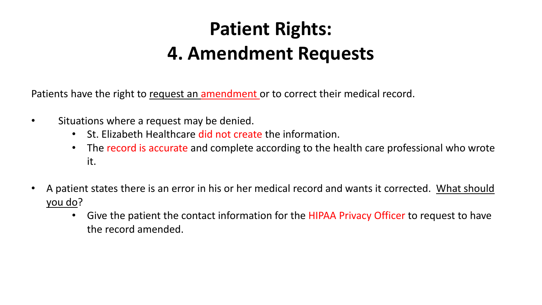## **Patient Rights: 4. Amendment Requests**

Patients have the right to request an amendment or to correct their medical record.

- Situations where a request may be denied.
	- St. Elizabeth Healthcare did not create the information.
	- The record is accurate and complete according to the health care professional who wrote it.
- A patient states there is an error in his or her medical record and wants it corrected. What should you do?
	- Give the patient the contact information for the HIPAA Privacy Officer to request to have the record amended.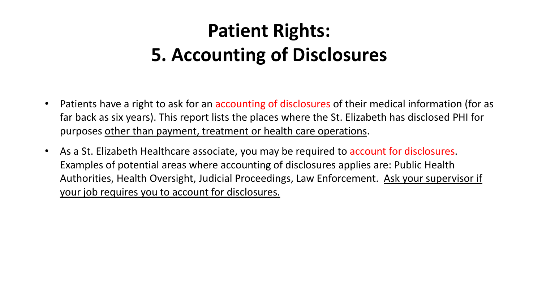## **Patient Rights: 5. Accounting of Disclosures**

- Patients have a right to ask for an accounting of disclosures of their medical information (for as far back as six years). This report lists the places where the St. Elizabeth has disclosed PHI for purposes other than payment, treatment or health care operations.
- As a St. Elizabeth Healthcare associate, you may be required to account for disclosures. Examples of potential areas where accounting of disclosures applies are: Public Health Authorities, Health Oversight, Judicial Proceedings, Law Enforcement. Ask your supervisor if your job requires you to account for disclosures.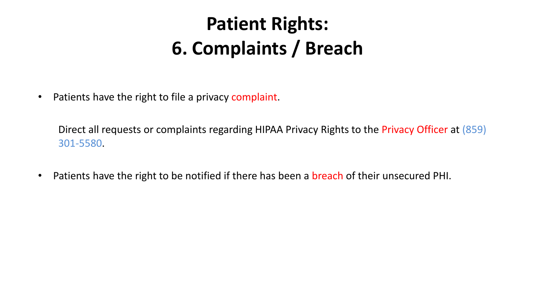## **Patient Rights: 6. Complaints / Breach**

• Patients have the right to file a privacy complaint.

Direct all requests or complaints regarding HIPAA Privacy Rights to the Privacy Officer at (859) 301-5580.

• Patients have the right to be notified if there has been a breach of their unsecured PHI.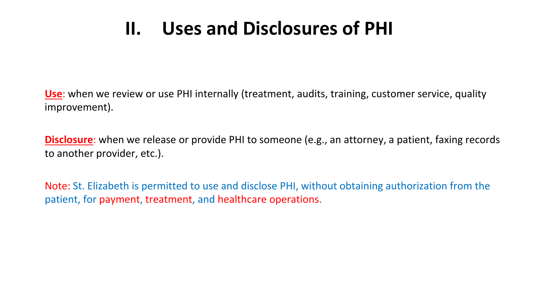### **II. Uses and Disclosures of PHI**

**Use**: when we review or use PHI internally (treatment, audits, training, customer service, quality improvement).

**Disclosure**: when we release or provide PHI to someone (e.g., an attorney, a patient, faxing records to another provider, etc.).

Note: St. Elizabeth is permitted to use and disclose PHI, without obtaining authorization from the patient, for payment, treatment, and healthcare operations.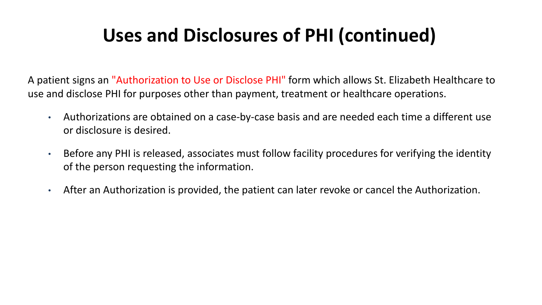### **Uses and Disclosures of PHI (continued)**

A patient signs an "Authorization to Use or Disclose PHI" form which allows St. Elizabeth Healthcare to use and disclose PHI for purposes other than payment, treatment or healthcare operations.

- Authorizations are obtained on a case-by-case basis and are needed each time a different use or disclosure is desired.
- Before any PHI is released, associates must follow facility procedures for verifying the identity of the person requesting the information.
- After an Authorization is provided, the patient can later revoke or cancel the Authorization.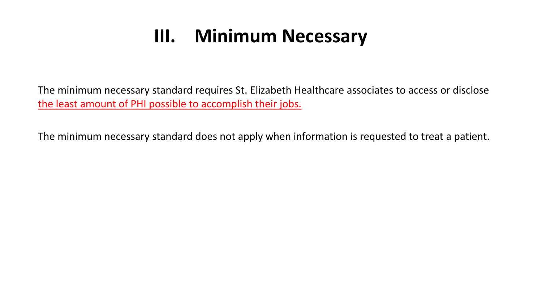### **III. Minimum Necessary**

The minimum necessary standard requires St. Elizabeth Healthcare associates to access or disclose the least amount of PHI possible to accomplish their jobs.

The minimum necessary standard does not apply when information is requested to treat a patient.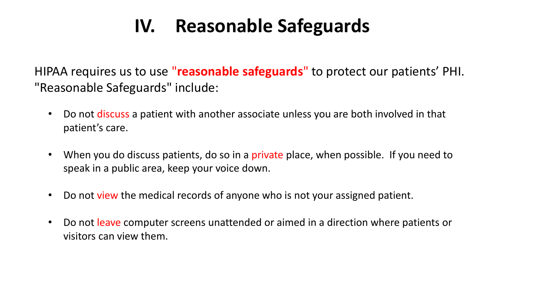### **IV. Reasonable Safeguards**

HIPAA requires us to use "**reasonable safeguards**" to protect our patients' PHI. "Reasonable Safeguards" include:

- Do not discuss a patient with another associate unless you are both involved in that patient's care.
- When you do discuss patients, do so in a private place, when possible. If you need to speak in a public area, keep your voice down.
- Do not view the medical records of anyone who is not your assigned patient.
- Do not leave computer screens unattended or aimed in a direction where patients or visitors can view them.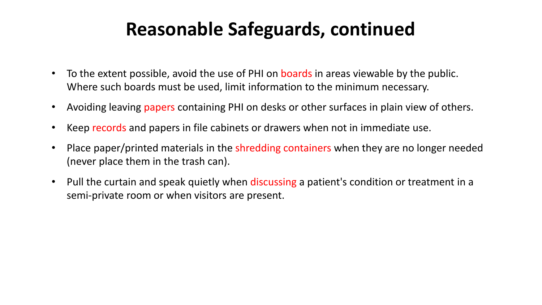### **Reasonable Safeguards, continued**

- To the extent possible, avoid the use of PHI on boards in areas viewable by the public. Where such boards must be used, limit information to the minimum necessary.
- Avoiding leaving papers containing PHI on desks or other surfaces in plain view of others.
- Keep records and papers in file cabinets or drawers when not in immediate use.
- Place paper/printed materials in the shredding containers when they are no longer needed (never place them in the trash can).
- Pull the curtain and speak quietly when discussing a patient's condition or treatment in a semi-private room or when visitors are present.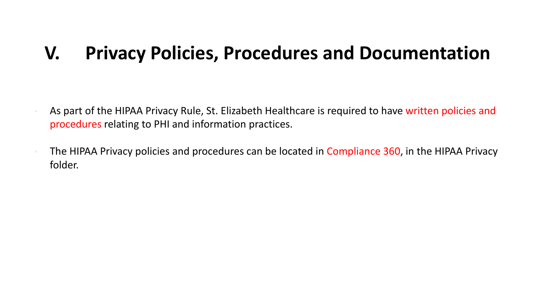### **V. Privacy Policies, Procedures and Documentation**

- As part of the HIPAA Privacy Rule, St. Elizabeth Healthcare is required to have written policies and procedures relating to PHI and information practices.
- The HIPAA Privacy policies and procedures can be located in Compliance 360, in the HIPAA Privacy folder.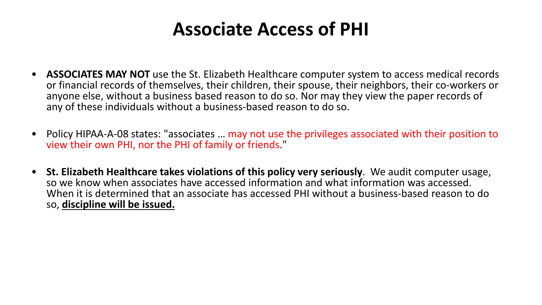### **Associate Access of PHI**

- **ASSOCIATES MAY NOT** use the St. Elizabeth Healthcare computer system to access medical records or financial records of themselves, their children, their spouse, their neighbors, their co-workers or anyone else, without a business based reason to do so. Nor may they view the paper records of any of these individuals without a business-based reason to do so.
- Policy HIPAA-A-08 states: "associates … may not use the privileges associated with their position to view their own PHI, nor the PHI of family or friends."
- **St. Elizabeth Healthcare takes violations of this policy very seriously**. We audit computer usage, so we know when associates have accessed information and what information was accessed. When it is determined that an associate has accessed PHI without a business-based reason to do so, **discipline will be issued.**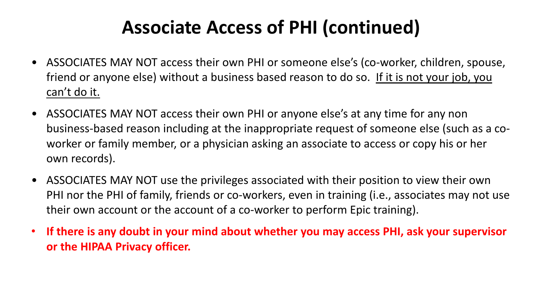### **Associate Access of PHI (continued)**

- ASSOCIATES MAY NOT access their own PHI or someone else's (co-worker, children, spouse, friend or anyone else) without a business based reason to do so. If it is not your job, you can't do it.
- ASSOCIATES MAY NOT access their own PHI or anyone else's at any time for any non business-based reason including at the inappropriate request of someone else (such as a coworker or family member, or a physician asking an associate to access or copy his or her own records).
- ASSOCIATES MAY NOT use the privileges associated with their position to view their own PHI nor the PHI of family, friends or co-workers, even in training (i.e., associates may not use their own account or the account of a co-worker to perform Epic training).
- **If there is any doubt in your mind about whether you may access PHI, ask your supervisor or the HIPAA Privacy officer.**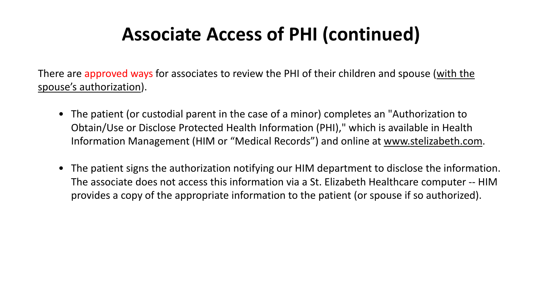### **Associate Access of PHI (continued)**

There are approved ways for associates to review the PHI of their children and spouse (with the spouse's authorization).

- The patient (or custodial parent in the case of a minor) completes an "Authorization to Obtain/Use or Disclose Protected Health Information (PHI)," which is available in Health Information Management (HIM or "Medical Records") and online at www.stelizabeth.com.
- The patient signs the authorization notifying our HIM department to disclose the information. The associate does not access this information via a St. Elizabeth Healthcare computer -- HIM provides a copy of the appropriate information to the patient (or spouse if so authorized).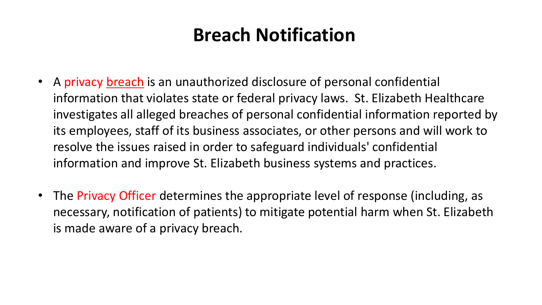### **Breach Notification**

- A privacy breach is an unauthorized disclosure of personal confidential information that violates state or federal privacy laws. St. Elizabeth Healthcare investigates all alleged breaches of personal confidential information reported by its employees, staff of its business associates, or other persons and will work to resolve the issues raised in order to safeguard individuals' confidential information and improve St. Elizabeth business systems and practices.
- The Privacy Officer determines the appropriate level of response (including, as necessary, notification of patients) to mitigate potential harm when St. Elizabeth is made aware of a privacy breach.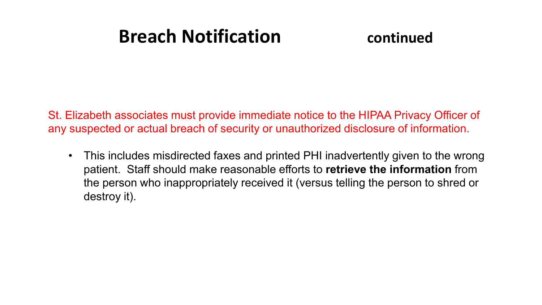### **Breach Notification continued**

St. Elizabeth associates must provide immediate notice to the HIPAA Privacy Officer of any suspected or actual breach of security or unauthorized disclosure of information.

• This includes misdirected faxes and printed PHI inadvertently given to the wrong patient. Staff should make reasonable efforts to **retrieve the information** from the person who inappropriately received it (versus telling the person to shred or destroy it).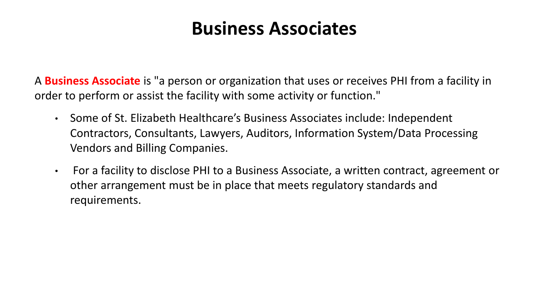### **Business Associates**

A **Business Associate** is "a person or organization that uses or receives PHI from a facility in order to perform or assist the facility with some activity or function."

- Some of St. Elizabeth Healthcare's Business Associates include: Independent Contractors, Consultants, Lawyers, Auditors, Information System/Data Processing Vendors and Billing Companies.
- For a facility to disclose PHI to a Business Associate, a written contract, agreement or other arrangement must be in place that meets regulatory standards and requirements.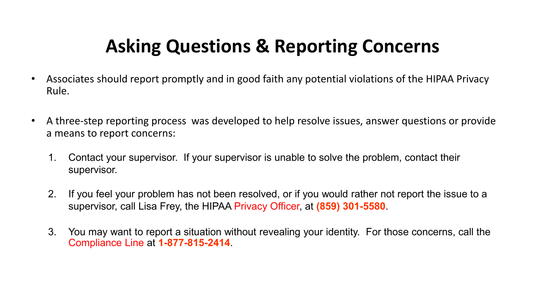### **Asking Questions & Reporting Concerns**

- Associates should report promptly and in good faith any potential violations of the HIPAA Privacy Rule.
- A three-step reporting process was developed to help resolve issues, answer questions or provide a means to report concerns:
	- 1. Contact your supervisor. If your supervisor is unable to solve the problem, contact their supervisor.
	- 2. If you feel your problem has not been resolved, or if you would rather not report the issue to a supervisor, call Lisa Frey, the HIPAA Privacy Officer, at **(859) 301-5580**.
	- 3. You may want to report a situation without revealing your identity. For those concerns, call the Compliance Line at **1-877-815-2414**.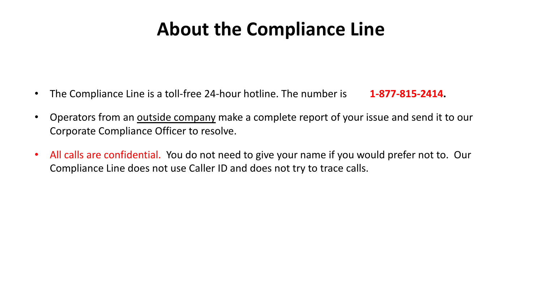### **About the Compliance Line**

- The Compliance Line is a toll-free 24-hour hotline. The number is **1-877-815-2414.**
- Operators from an **outside company** make a complete report of your issue and send it to our Corporate Compliance Officer to resolve.
- All calls are confidential. You do not need to give your name if you would prefer not to. Our Compliance Line does not use Caller ID and does not try to trace calls.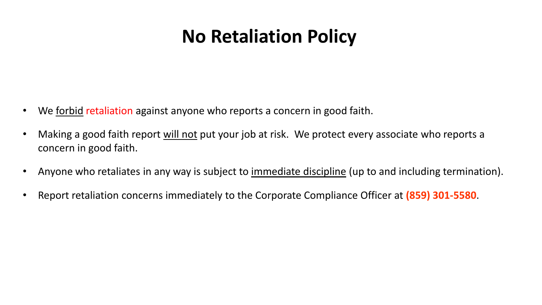### **No Retaliation Policy**

- We forbid retaliation against anyone who reports a concern in good faith.
- Making a good faith report will not put your job at risk. We protect every associate who reports a concern in good faith.
- Anyone who retaliates in any way is subject to *immediate discipline* (up to and including termination).
- Report retaliation concerns immediately to the Corporate Compliance Officer at **(859) 301-5580**.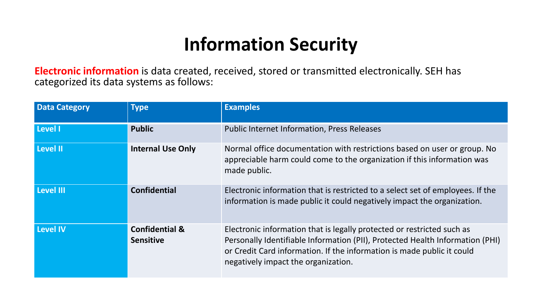### **Information Security**

**Electronic information** is data created, received, stored or transmitted electronically. SEH has categorized its data systems as follows:

| <b>Data Category</b> | <b>Type</b>                                   | <b>Examples</b>                                                                                                                                                                                                                                                          |
|----------------------|-----------------------------------------------|--------------------------------------------------------------------------------------------------------------------------------------------------------------------------------------------------------------------------------------------------------------------------|
| Level I              | <b>Public</b>                                 | <b>Public Internet Information, Press Releases</b>                                                                                                                                                                                                                       |
| Level II             | <b>Internal Use Only</b>                      | Normal office documentation with restrictions based on user or group. No<br>appreciable harm could come to the organization if this information was<br>made public.                                                                                                      |
| Level III            | <b>Confidential</b>                           | Electronic information that is restricted to a select set of employees. If the<br>information is made public it could negatively impact the organization.                                                                                                                |
| <b>Level IV</b>      | <b>Confidential &amp;</b><br><b>Sensitive</b> | Electronic information that is legally protected or restricted such as<br>Personally Identifiable Information (PII), Protected Health Information (PHI)<br>or Credit Card information. If the information is made public it could<br>negatively impact the organization. |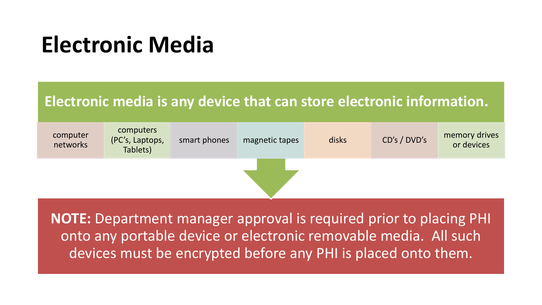## **Electronic Media**

### **Electronic media is any device that can store electronic information.**



**NOTE:** Department manager approval is required prior to placing PHI onto any portable device or electronic removable media. All such devices must be encrypted before any PHI is placed onto them.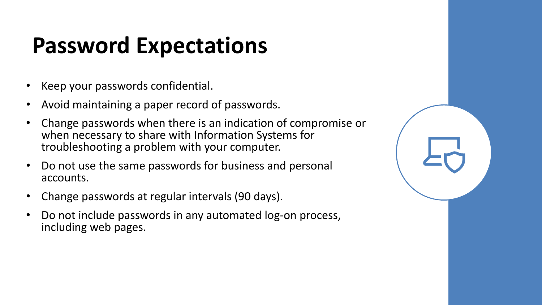# **Password Expectations**

- Keep your passwords confidential.
- Avoid maintaining a paper record of passwords.
- Change passwords when there is an indication of compromise or when necessary to share with Information Systems for troubleshooting a problem with your computer.
- Do not use the same passwords for business and personal accounts.
- Change passwords at regular intervals (90 days).
- Do not include passwords in any automated log-on process, including web pages.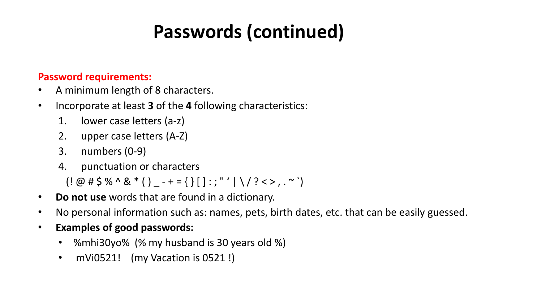### **Passwords (continued)**

#### **Password requirements:**

- A minimum length of 8 characters.
- Incorporate at least **3** of the **4** following characteristics:
	- 1. lower case letters (a-z)
	- 2. upper case letters (A-Z)
	- 3. numbers (0-9)
	- 4. punctuation or characters

 $($ ! @ # \$ % ^ & \* ( ) \_ - + = { } [ ] : ; " ' | \ / ? < > , . ~ `)

- **Do not use** words that are found in a dictionary.
- No personal information such as: names, pets, birth dates, etc. that can be easily guessed.
- **Examples of good passwords:**
	- %mhi30yo% (% my husband is 30 years old %)
	- mVi0521! (my Vacation is 0521 !)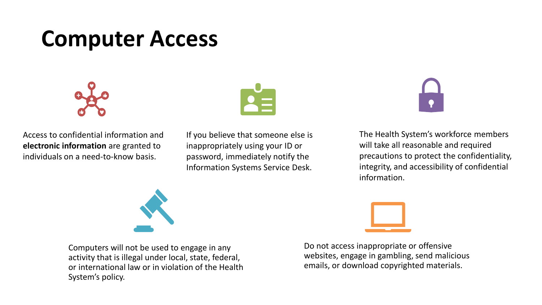## **Computer Access**



Access to confidential information and **electronic information** are granted to individuals on a need-to-know basis.



If you believe that someone else is inappropriately using your ID or password, immediately notify the Information Systems Service Desk.

The Health System's workforce members will take all reasonable and required precautions to protect the confidentiality, integrity, and accessibility of confidential information.



Do not access inappropriate or offensive websites, engage in gambling, send malicious emails, or download copyrighted materials.



Computers will not be used to engage in any activity that is illegal under local, state, federal, or international law or in violation of the Health System's policy.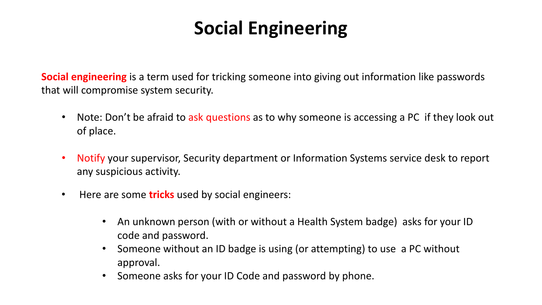### **Social Engineering**

**Social engineering** is a term used for tricking someone into giving out information like passwords that will compromise system security.

- Note: Don't be afraid to ask questions as to why someone is accessing a PC if they look out of place.
- Notify your supervisor, Security department or Information Systems service desk to report any suspicious activity.
- Here are some **tricks** used by social engineers:
	- An unknown person (with or without a Health System badge) asks for your ID code and password.
	- Someone without an ID badge is using (or attempting) to use a PC without approval.
	- Someone asks for your ID Code and password by phone.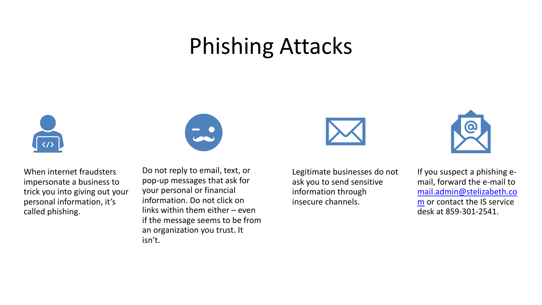## Phishing Attacks



When internet fraudsters impersonate a business to trick you into giving out your personal information, it's called phishing.



Do not reply to email, text, or pop-up messages that ask for your personal or financial information. Do not click on links within them either – even if the message seems to be from an organization you trust. It isn't.





Legitimate businesses do not ask you to send sensitive information through insecure channels.

If you suspect a phishing email, forward the e-mail to [mail.admin@stelizabeth.co](mailto:mail.admin@stelizabeth.com) m or contact the IS service desk at 859-301-2541.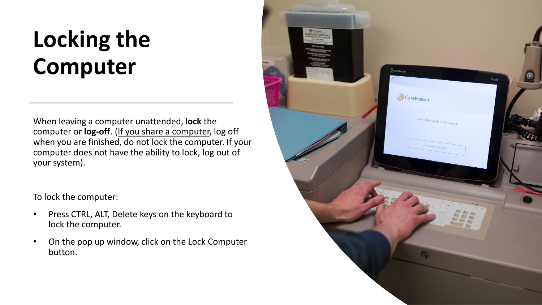# **Locking the Computer**

When leaving a computer unattended, **lock** the computer or **log-off**. (If you share a computer, log off when you are finished, do not lock the computer. If your computer does not have the ability to lock, log out of your system).

To lock the computer:

- Press CTRL, ALT, Delete keys on the keyboard to lock the computer.
- On the pop up window, click on the Lock Computer button.

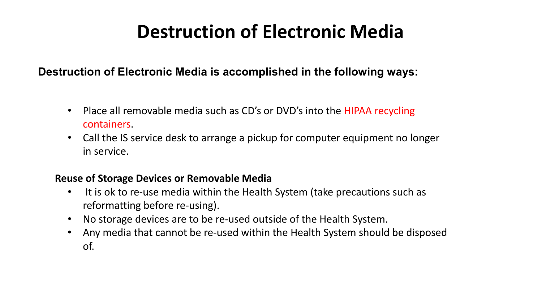### **Destruction of Electronic Media**

#### **Destruction of Electronic Media is accomplished in the following ways:**

- Place all removable media such as CD's or DVD's into the HIPAA recycling containers.
- Call the IS service desk to arrange a pickup for computer equipment no longer in service.

#### **Reuse of Storage Devices or Removable Media**

- It is ok to re-use media within the Health System (take precautions such as reformatting before re-using).
- No storage devices are to be re-used outside of the Health System.
- Any media that cannot be re-used within the Health System should be disposed of.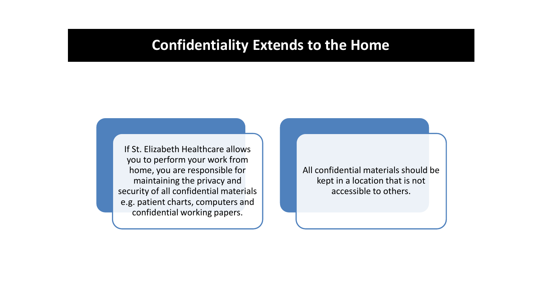### **Confidentiality Extends to the Home**

If St. Elizabeth Healthcare allows you to perform your work from home, you are responsible for maintaining the privacy and security of all confidential materials e.g. patient charts, computers and confidential working papers.

All confidential materials should be kept in a location that is not accessible to others.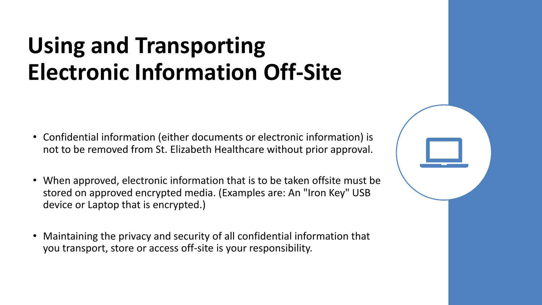# **Using and Transporting Electronic Information Off-Site**

- Confidential information (either documents or electronic information) is not to be removed from St. Elizabeth Healthcare without prior approval.
- When approved, electronic information that is to be taken offsite must be stored on approved encrypted media. (Examples are: An "Iron Key" USB device or Laptop that is encrypted.)
- Maintaining the privacy and security of all confidential information that you transport, store or access off-site is your responsibility.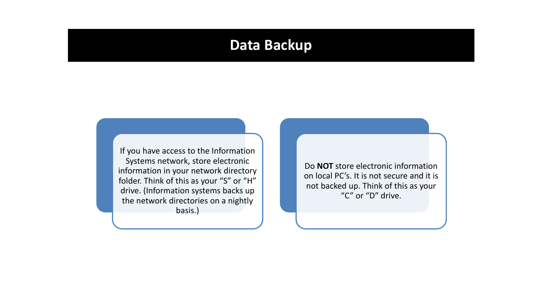### **Data Backup**

If you have access to the Information Systems network, store electronic information in your network directory folder. Think of this as your "S" or "H" drive. (Information systems backs up the network directories on a nightly basis.)

Do **NOT** store electronic information on local PC's. It is not secure and it is not backed up. Think of this as your "C" or "D" drive.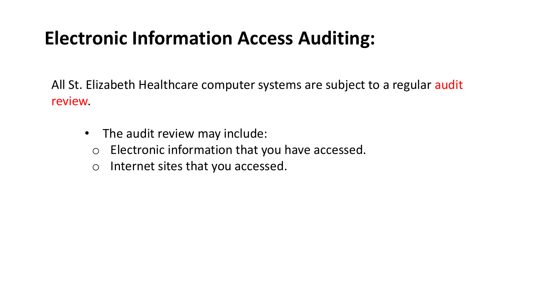### **Electronic Information Access Auditing:**

All St. Elizabeth Healthcare computer systems are subject to a regular audit review.

- The audit review may include:
	- o Electronic information that you have accessed.
	- o Internet sites that you accessed.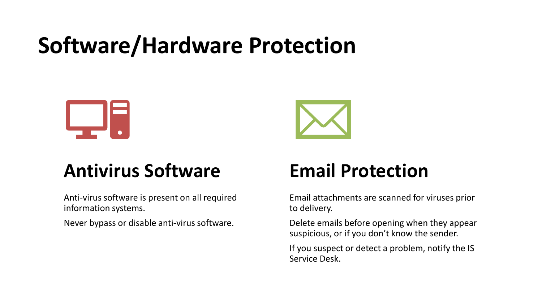# **Software/Hardware Protection**





### **Antivirus Software**

Anti-virus software is present on all required information systems.

Never bypass or disable anti-virus software.

### **Email Protection**

Email attachments are scanned for viruses prior to delivery.

Delete emails before opening when they appear suspicious, or if you don't know the sender.

If you suspect or detect a problem, notify the IS Service Desk.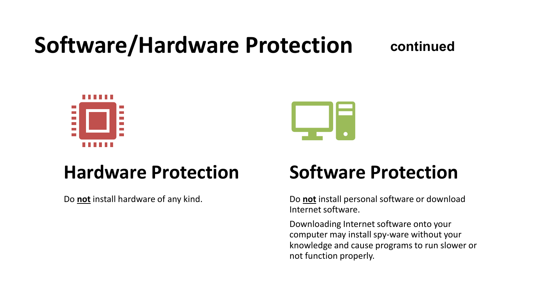# **Software/Hardware Protection**

### **continued**





### **Hardware Protection**

Do **not** install hardware of any kind.

### **Software Protection**

Do **not** install personal software or download Internet software.

Downloading Internet software onto your computer may install spy-ware without your knowledge and cause programs to run slower or not function properly.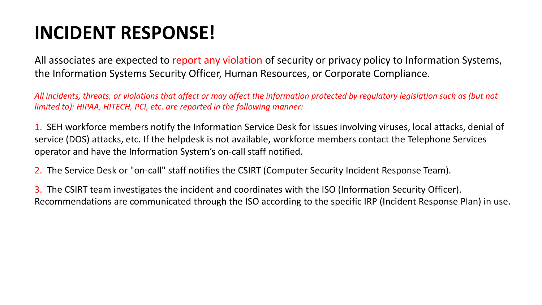### **INCIDENT RESPONSE!**

All associates are expected to report any violation of security or privacy policy to Information Systems, the Information Systems Security Officer, Human Resources, or Corporate Compliance.

*All incidents, threats, or violations that affect or may affect the information protected by regulatory legislation such as (but not limited to): HIPAA, HITECH, PCI, etc. are reported in the following manner:*

1. SEH workforce members notify the Information Service Desk for issues involving viruses, local attacks, denial of service (DOS) attacks, etc. If the helpdesk is not available, workforce members contact the Telephone Services operator and have the Information System's on-call staff notified.

2. The Service Desk or "on-call" staff notifies the CSIRT (Computer Security Incident Response Team).

3. The CSIRT team investigates the incident and coordinates with the ISO (Information Security Officer). Recommendations are communicated through the ISO according to the specific IRP (Incident Response Plan) in use.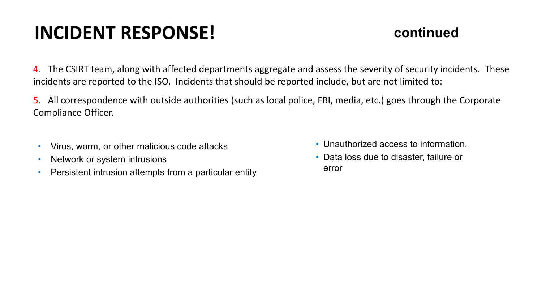### **INCIDENT RESPONSE!**

### **continued**

4. The CSIRT team, along with affected departments aggregate and assess the severity of security incidents. These incidents are reported to the ISO. Incidents that should be reported include, but are not limited to:

5. All correspondence with outside authorities (such as local police, FBI, media, etc.) goes through the Corporate Compliance Officer.

- Virus, worm, or other malicious code attacks
- Network or system intrusions
- Persistent intrusion attempts from a particular entity
- Unauthorized access to information.
- Data loss due to disaster, failure or error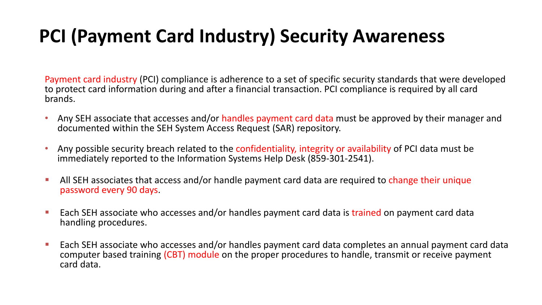### **PCI (Payment Card Industry) Security Awareness**

Payment card industry (PCI) compliance is adherence to a set of specific security standards that were developed to protect card information during and after a financial transaction. PCI compliance is required by all card brands.

- Any SEH associate that accesses and/or handles payment card data must be approved by their manager and documented within the SEH System Access Request (SAR) repository.
- Any possible security breach related to the confidentiality, integrity or availability of PCI data must be immediately reported to the Information Systems Help Desk (859-301-2541).
- All SEH associates that access and/or handle payment card data are required to change their unique password every 90 days.
- **Each SEH associate who accesses and/or handles payment card data is trained on payment card data** handling procedures.
- Each SEH associate who accesses and/or handles payment card data completes an annual payment card data computer based training (CBT) module on the proper procedures to handle, transmit or receive payment card data.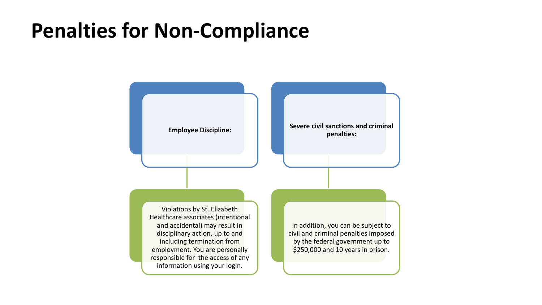### **Penalties for Non-Compliance**